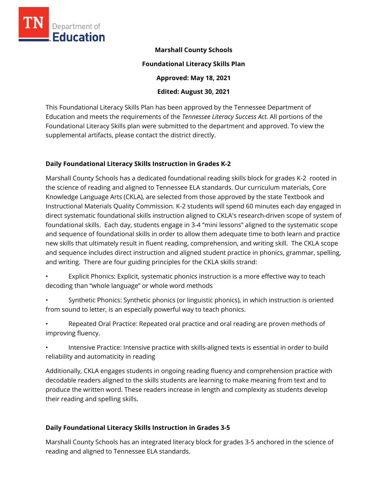

#### **Marshall County Schools**

#### **Foundational Literacy Skills Plan**

**Approved: May 18, 2021** 

**Edited: August 30, 2021**

This Foundational Literacy Skills Plan has been approved by the Tennessee Department of Education and meets the requirements of the *Tennessee Literacy Success Act.* All portions of the Foundational Literacy Skills plan were submitted to the department and approved. To view the supplemental artifacts, please contact the district directly.

## **Daily Foundational Literacy Skills Instruction in Grades K-2**

Marshall County Schools has a dedicated foundational reading skills block for grades K-2 rooted in the science of reading and aligned to Tennessee ELA standards. Our curriculum materials, Core Knowledge Language Arts (CKLA), are selected from those approved by the state Textbook and Instructional Materials Quality Commission. K-2 students will spend 60 minutes each day engaged in direct systematic foundational skills instruction aligned to CKLA's research-driven scope of system of foundational skills. Each day, students engage in 3-4 "mini lessons" aligned to the systematic scope and sequence of foundational skills in order to allow them adequate time to both learn and practice new skills that ultimately result in fluent reading, comprehension, and writing skill. The CKLA scope and sequence includes direct instruction and aligned student practice in phonics, grammar, spelling, and writing. There are four guiding principles for the CKLA skills strand:

- Explicit Phonics: Explicit, systematic phonics instruction is a more effective way to teach decoding than "whole language" or whole word methods
- Synthetic Phonics: Synthetic phonics (or linguistic phonics), in which instruction is oriented from sound to letter, is an especially powerful way to teach phonics.
- Repeated Oral Practice: Repeated oral practice and oral reading are proven methods of improving fluency.
- Intensive Practice: Intensive practice with skills-aligned texts is essential in order to build reliability and automaticity in reading

Additionally, CKLA engages students in ongoing reading fluency and comprehension practice with decodable readers aligned to the skills students are learning to make meaning from text and to produce the written word. These readers increase in length and complexity as students develop their reading and spelling skills.

# **Daily Foundational Literacy Skills Instruction in Grades 3-5**

Marshall County Schools has an integrated literacy block for grades 3-5 anchored in the science of reading and aligned to Tennessee ELA standards.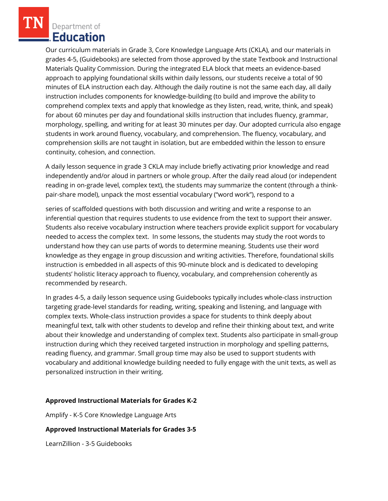Department of Education

Our curriculum materials in Grade 3, Core Knowledge Language Arts (CKLA), and our materials in grades 4-5, (Guidebooks) are selected from those approved by the state Textbook and Instructional Materials Quality Commission. During the integrated ELA block that meets an evidence-based approach to applying foundational skills within daily lessons, our students receive a total of 90 minutes of ELA instruction each day. Although the daily routine is not the same each day, all daily instruction includes components for knowledge-building (to build and improve the ability to comprehend complex texts and apply that knowledge as they listen, read, write, think, and speak) for about 60 minutes per day and foundational skills instruction that includes fluency, grammar, morphology, spelling, and writing for at least 30 minutes per day. Our adopted curricula also engage students in work around fluency, vocabulary, and comprehension. The fluency, vocabulary, and comprehension skills are not taught in isolation, but are embedded within the lesson to ensure continuity, cohesion, and connection.

A daily lesson sequence in grade 3 CKLA may include briefly activating prior knowledge and read independently and/or aloud in partners or whole group. After the daily read aloud (or independent reading in on-grade level, complex text), the students may summarize the content (through a thinkpair-share model), unpack the most essential vocabulary ("word work"), respond to a

series of scaffolded questions with both discussion and writing and write a response to an inferential question that requires students to use evidence from the text to support their answer. Students also receive vocabulary instruction where teachers provide explicit support for vocabulary needed to access the complex text. In some lessons, the students may study the root words to understand how they can use parts of words to determine meaning. Students use their word knowledge as they engage in group discussion and writing activities. Therefore, foundational skills instruction is embedded in all aspects of this 90-minute block and is dedicated to developing students' holistic literacy approach to fluency, vocabulary, and comprehension coherently as recommended by research.

In grades 4-5, a daily lesson sequence using Guidebooks typically includes whole-class instruction targeting grade-level standards for reading, writing, speaking and listening, and language with complex texts. Whole-class instruction provides a space for students to think deeply about meaningful text, talk with other students to develop and refine their thinking about text, and write about their knowledge and understanding of complex text. Students also participate in small-group instruction during which they received targeted instruction in morphology and spelling patterns, reading fluency, and grammar. Small group time may also be used to support students with vocabulary and additional knowledge building needed to fully engage with the unit texts, as well as personalized instruction in their writing.

#### **Approved Instructional Materials for Grades K-2**

Amplify - K-5 Core Knowledge Language Arts

#### **Approved Instructional Materials for Grades 3-5**

LearnZillion - 3-5 Guidebooks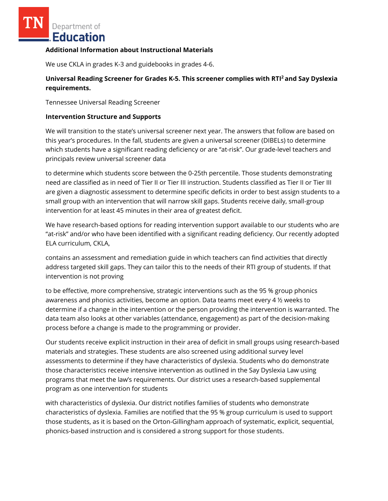Department of Education

#### **Additional Information about Instructional Materials**

We use CKLA in grades K-3 and guidebooks in grades 4-6.

## **Universal Reading Screener for Grades K-5. This screener complies with RTI<sup>2</sup>and Say Dyslexia requirements.**

Tennessee Universal Reading Screener

#### **Intervention Structure and Supports**

We will transition to the state's universal screener next year. The answers that follow are based on this year's procedures. In the fall, students are given a universal screener (DIBELs) to determine which students have a significant reading deficiency or are "at-risk". Our grade-level teachers and principals review universal screener data

to determine which students score between the 0-25th percentile. Those students demonstrating need are classified as in need of Tier II or Tier III instruction. Students classified as Tier II or Tier III are given a diagnostic assessment to determine specific deficits in order to best assign students to a small group with an intervention that will narrow skill gaps. Students receive daily, small-group intervention for at least 45 minutes in their area of greatest deficit.

We have research-based options for reading intervention support available to our students who are "at-risk" and/or who have been identified with a significant reading deficiency. Our recently adopted ELA curriculum, CKLA,

contains an assessment and remediation guide in which teachers can find activities that directly address targeted skill gaps. They can tailor this to the needs of their RTI group of students. If that intervention is not proving

to be effective, more comprehensive, strategic interventions such as the 95 % group phonics awareness and phonics activities, become an option. Data teams meet every 4 ½ weeks to determine if a change in the intervention or the person providing the intervention is warranted. The data team also looks at other variables (attendance, engagement) as part of the decision-making process before a change is made to the programming or provider.

Our students receive explicit instruction in their area of deficit in small groups using research-based materials and strategies. These students are also screened using additional survey level assessments to determine if they have characteristics of dyslexia. Students who do demonstrate those characteristics receive intensive intervention as outlined in the Say Dyslexia Law using programs that meet the law's requirements. Our district uses a research-based supplemental program as one intervention for students

with characteristics of dyslexia. Our district notifies families of students who demonstrate characteristics of dyslexia. Families are notified that the 95 % group curriculum is used to support those students, as it is based on the Orton-Gillingham approach of systematic, explicit, sequential, phonics-based instruction and is considered a strong support for those students.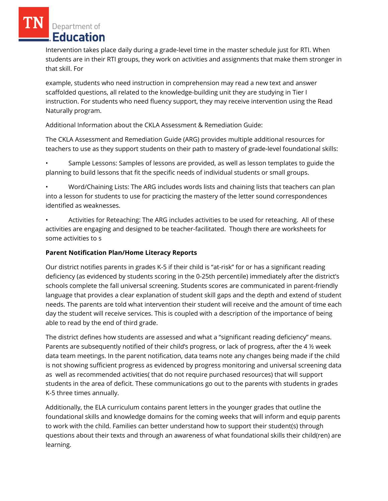Department of **Education** 

Intervention takes place daily during a grade-level time in the master schedule just for RTI. When students are in their RTI groups, they work on activities and assignments that make them stronger in that skill. For

example, students who need instruction in comprehension may read a new text and answer scaffolded questions, all related to the knowledge-building unit they are studying in Tier I instruction. For students who need fluency support, they may receive intervention using the Read Naturally program.

Additional Information about the CKLA Assessment & Remediation Guide:

The CKLA Assessment and Remediation Guide (ARG) provides multiple additional resources for teachers to use as they support students on their path to mastery of grade-level foundational skills:

• Sample Lessons: Samples of lessons are provided, as well as lesson templates to guide the planning to build lessons that fit the specific needs of individual students or small groups.

• Word/Chaining Lists: The ARG includes words lists and chaining lists that teachers can plan into a lesson for students to use for practicing the mastery of the letter sound correspondences identified as weaknesses.

• Activities for Reteaching: The ARG includes activities to be used for reteaching. All of these activities are engaging and designed to be teacher-facilitated. Though there are worksheets for some activities to s

# **Parent Notification Plan/Home Literacy Reports**

Our district notifies parents in grades K-5 if their child is "at-risk" for or has a significant reading deficiency (as evidenced by students scoring in the 0-25th percentile) immediately after the district's schools complete the fall universal screening. Students scores are communicated in parent-friendly language that provides a clear explanation of student skill gaps and the depth and extend of student needs. The parents are told what intervention their student will receive and the amount of time each day the student will receive services. This is coupled with a description of the importance of being able to read by the end of third grade.

The district defines how students are assessed and what a "significant reading deficiency" means. Parents are subsequently notified of their child's progress, or lack of progress, after the 4 ½ week data team meetings. In the parent notification, data teams note any changes being made if the child is not showing sufficient progress as evidenced by progress monitoring and universal screening data as well as recommended activities( that do not require purchased resources) that will support students in the area of deficit. These communications go out to the parents with students in grades K-5 three times annually.

Additionally, the ELA curriculum contains parent letters in the younger grades that outline the foundational skills and knowledge domains for the coming weeks that will inform and equip parents to work with the child. Families can better understand how to support their student(s) through questions about their texts and through an awareness of what foundational skills their child(ren) are learning.